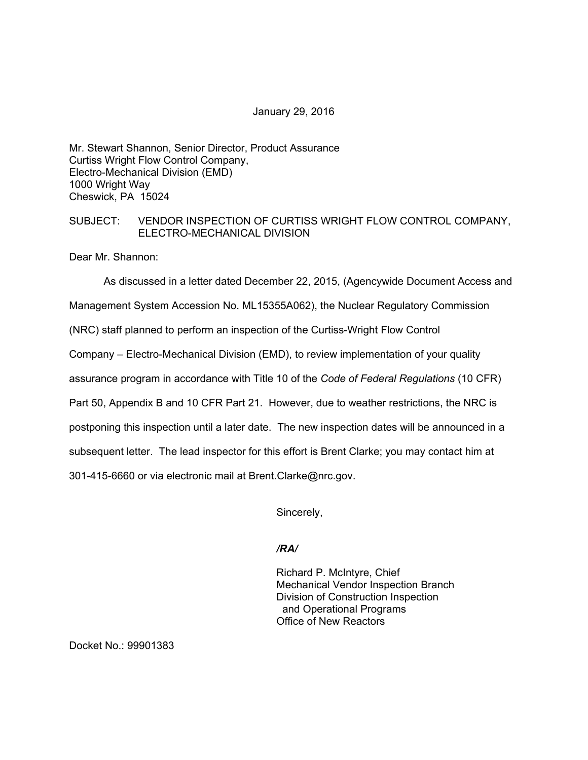#### January 29, 2016

Mr. Stewart Shannon, Senior Director, Product Assurance Curtiss Wright Flow Control Company, Electro-Mechanical Division (EMD) 1000 Wright Way Cheswick, PA 15024

### SUBJECT: VENDOR INSPECTION OF CURTISS WRIGHT FLOW CONTROL COMPANY, ELECTRO-MECHANICAL DIVISION

Dear Mr. Shannon:

As discussed in a letter dated December 22, 2015, (Agencywide Document Access and Management System Accession No. ML15355A062), the Nuclear Regulatory Commission (NRC) staff planned to perform an inspection of the Curtiss-Wright Flow Control Company – Electro-Mechanical Division (EMD), to review implementation of your quality assurance program in accordance with Title 10 of the *Code of Federal Regulations* (10 CFR) Part 50, Appendix B and 10 CFR Part 21. However, due to weather restrictions, the NRC is postponing this inspection until a later date. The new inspection dates will be announced in a subsequent letter. The lead inspector for this effort is Brent Clarke; you may contact him at 301-415-6660 or via electronic mail at Brent.Clarke@nrc.gov.

Sincerely,

# */RA/*

Richard P. McIntyre, Chief Mechanical Vendor Inspection Branch Division of Construction Inspection and Operational Programs Office of New Reactors

Docket No.: 99901383